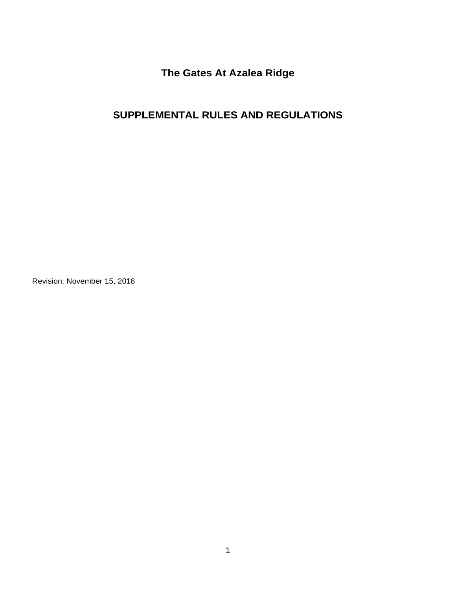**The Gates At Azalea Ridge**

# **SUPPLEMENTAL RULES AND REGULATIONS**

Revision: November 15, 2018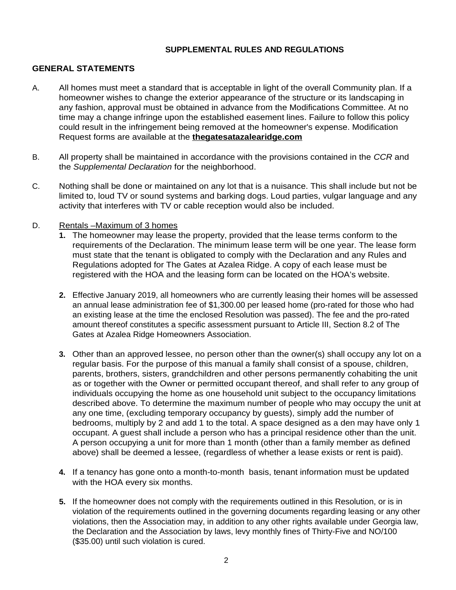#### **SUPPLEMENTAL RULES AND REGULATIONS**

#### **GENERAL STATEMENTS**

- A. All homes must meet a standard that is acceptable in light of the overall Community plan. If a homeowner wishes to change the exterior appearance of the structure or its landscaping in any fashion, approval must be obtained in advance from the Modifications Committee. At no time may a change infringe upon the established easement lines. Failure to follow this policy could result in the infringement being removed at the homeowner's expense. Modification Request forms are available at the **thegatesatazalearidge.com**
- B. All property shall be maintained in accordance with the provisions contained in the *CCR* and the *Supplemental Declaration* for the neighborhood.
- C. Nothing shall be done or maintained on any lot that is a nuisance. This shall include but not be limited to, loud TV or sound systems and barking dogs. Loud parties, vulgar language and any activity that interferes with TV or cable reception would also be included.
- D. Rentals –Maximum of 3 homes
	- **1.** The homeowner may lease the property, provided that the lease terms conform to the requirements of the Declaration. The minimum lease term will be one year. The lease form must state that the tenant is obligated to comply with the Declaration and any Rules and Regulations adopted for The Gates at Azalea Ridge. A copy of each lease must be registered with the HOA and the leasing form can be located on the HOA's website.
	- **2.** Effective January 2019, all homeowners who are currently leasing their homes will be assessed an annual lease administration fee of \$1,300.00 per leased home (pro-rated for those who had an existing lease at the time the enclosed Resolution was passed). The fee and the pro-rated amount thereof constitutes a specific assessment pursuant to Article III, Section 8.2 of The Gates at Azalea Ridge Homeowners Association.
	- **3.** Other than an approved lessee, no person other than the owner(s) shall occupy any lot on a regular basis. For the purpose of this manual a family shall consist of a spouse, children, parents, brothers, sisters, grandchildren and other persons permanently cohabiting the unit as or together with the Owner or permitted occupant thereof, and shall refer to any group of individuals occupying the home as one household unit subject to the occupancy limitations described above. To determine the maximum number of people who may occupy the unit at any one time, (excluding temporary occupancy by guests), simply add the number of bedrooms, multiply by 2 and add 1 to the total. A space designed as a den may have only 1 occupant. A guest shall include a person who has a principal residence other than the unit. A person occupying a unit for more than 1 month (other than a family member as defined above) shall be deemed a lessee, (regardless of whether a lease exists or rent is paid).
	- **4.** If a tenancy has gone onto a month-to-month basis, tenant information must be updated with the HOA every six months.
	- **5.** If the homeowner does not comply with the requirements outlined in this Resolution, or is in violation of the requirements outlined in the governing documents regarding leasing or any other violations, then the Association may, in addition to any other rights available under Georgia law, the Declaration and the Association by laws, levy monthly fines of Thirty-Five and NO/100 (\$35.00) until such violation is cured.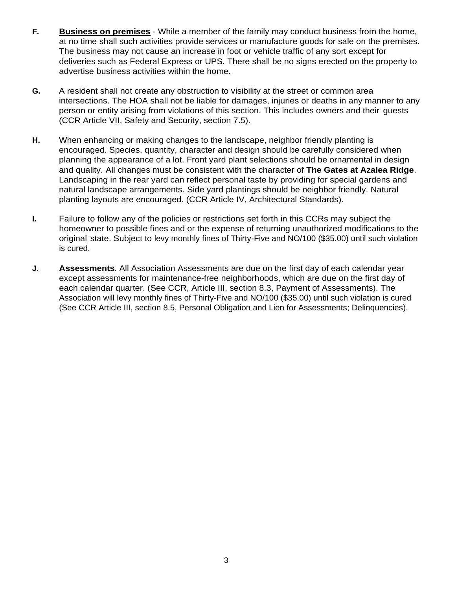- **F. Business on premises** While a member of the family may conduct business from the home, at no time shall such activities provide services or manufacture goods for sale on the premises. The business may not cause an increase in foot or vehicle traffic of any sort except for deliveries such as Federal Express or UPS. There shall be no signs erected on the property to advertise business activities within the home.
- **G.** A resident shall not create any obstruction to visibility at the street or common area intersections. The HOA shall not be liable for damages, injuries or deaths in any manner to any person or entity arising from violations of this section. This includes owners and their guests (CCR Article VII, Safety and Security, section 7.5).
- **H.** When enhancing or making changes to the landscape, neighbor friendly planting is encouraged. Species, quantity, character and design should be carefully considered when planning the appearance of a lot. Front yard plant selections should be ornamental in design and quality. All changes must be consistent with the character of **The Gates at Azalea Ridge**. Landscaping in the rear yard can reflect personal taste by providing for special gardens and natural landscape arrangements. Side yard plantings should be neighbor friendly. Natural planting layouts are encouraged. (CCR Article IV, Architectural Standards).
- **I.** Failure to follow any of the policies or restrictions set forth in this CCRs may subject the homeowner to possible fines and or the expense of returning unauthorized modifications to the original state. Subject to levy monthly fines of Thirty-Five and NO/100 (\$35.00) until such violation is cured.
- **J. Assessments**. All Association Assessments are due on the first day of each calendar year except assessments for maintenance-free neighborhoods, which are due on the first day of each calendar quarter. (See CCR, Article III, section 8.3, Payment of Assessments). The Association will levy monthly fines of Thirty-Five and NO/100 (\$35.00) until such violation is cured (See CCR Article III, section 8.5, Personal Obligation and Lien for Assessments; Delinquencies).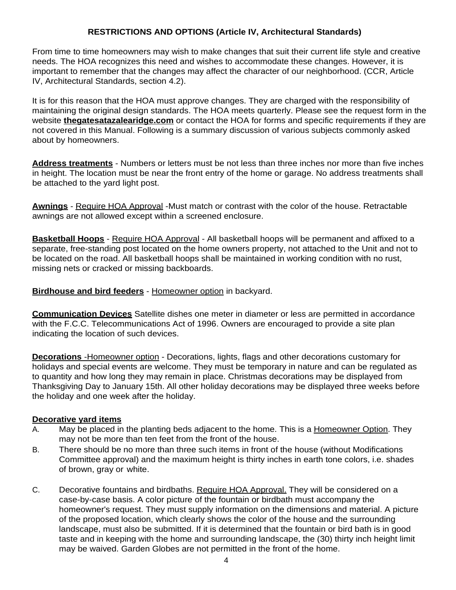### **RESTRICTIONS AND OPTIONS (Article IV, Architectural Standards)**

From time to time homeowners may wish to make changes that suit their current life style and creative needs. The HOA recognizes this need and wishes to accommodate these changes. However, it is important to remember that the changes may affect the character of our neighborhood. (CCR, Article IV, Architectural Standards, section 4.2).

It is for this reason that the HOA must approve changes. They are charged with the responsibility of maintaining the original design standards. The HOA meets quarterly. Please see the request form in the website **thegatesatazalearidge.com** or contact the HOA for forms and specific requirements if they are not covered in this Manual. Following is a summary discussion of various subjects commonly asked about by homeowners.

**Address treatments** - Numbers or letters must be not less than three inches nor more than five inches in height. The location must be near the front entry of the home or garage. No address treatments shall be attached to the yard light post.

**Awnings** - Require HOA Approval -Must match or contrast with the color of the house. Retractable awnings are not allowed except within a screened enclosure.

**Basketball Hoops** - Require HOA Approval - All basketball hoops will be permanent and affixed to a separate, free-standing post located on the home owners property, not attached to the Unit and not to be located on the road. All basketball hoops shall be maintained in working condition with no rust, missing nets or cracked or missing backboards.

#### **Birdhouse and bird feeders** - Homeowner option in backyard.

**Communication Devices** Satellite dishes one meter in diameter or less are permitted in accordance with the F.C.C. Telecommunications Act of 1996. Owners are encouraged to provide a site plan indicating the location of such devices.

 **Decorations** -Homeowner option - Decorations, lights, flags and other decorations customary for holidays and special events are welcome. They must be temporary in nature and can be regulated as to quantity and how long they may remain in place. Christmas decorations may be displayed from Thanksgiving Day to January 15th. All other holiday decorations may be displayed three weeks before the holiday and one week after the holiday.

#### **Decorative yard items**

- A. May be placed in the planting beds adjacent to the home. This is a Homeowner Option. They may not be more than ten feet from the front of the house.
- B. There should be no more than three such items in front of the house (without Modifications Committee approval) and the maximum height is thirty inches in earth tone colors, i.e. shades of brown, gray or white.
- C. Decorative fountains and birdbaths. Require HOA Approval. They will be considered on a case-by-case basis. A color picture of the fountain or birdbath must accompany the homeowner's request. They must supply information on the dimensions and material. A picture of the proposed location, which clearly shows the color of the house and the surrounding landscape, must also be submitted. If it is determined that the fountain or bird bath is in good taste and in keeping with the home and surrounding landscape, the (30) thirty inch height limit may be waived. Garden Globes are not permitted in the front of the home.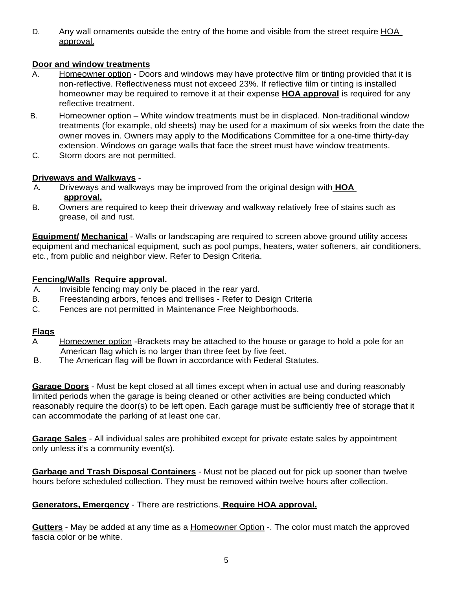D. Any wall ornaments outside the entry of the home and visible from the street require HOA approval.

### **Door and window treatments**

- A. Homeowner option Doors and windows may have protective film or tinting provided that it is non-reflective. Reflectiveness must not exceed 23%. If reflective film or tinting is installed homeowner may be required to remove it at their expense **HOA approval** is required for any reflective treatment.
- B. Homeowner option White window treatments must be in displaced. Non-traditional window treatments (for example, old sheets) may be used for a maximum of six weeks from the date the owner moves in. Owners may apply to the Modifications Committee for a one-time thirty-day extension. Windows on garage walls that face the street must have window treatments.
- C. Storm doors are not permitted.

### **Driveways and Walkways** -

- A. Driveways and walkways may be improved from the original design with **HOA approval.**
- B. Owners are required to keep their driveway and walkway relatively free of stains such as grease, oil and rust.

**Equipment/ Mechanical** - Walls or landscaping are required to screen above ground utility access equipment and mechanical equipment, such as pool pumps, heaters, water softeners, air conditioners, etc., from public and neighbor view. Refer to Design Criteria.

## **Fencing/Walls Require approval.**

- A. Invisible fencing may only be placed in the rear yard.
- B. Freestanding arbors, fences and trellises Refer to Design Criteria
- C. Fences are not permitted in Maintenance Free Neighborhoods.

### **Flags**

- A Homeowner option -Brackets may be attached to the house or garage to hold a pole for an American flag which is no larger than three feet by five feet.
- B. The American flag will be flown in accordance with Federal Statutes.

**Garage Doors** - Must be kept closed at all times except when in actual use and during reasonably limited periods when the garage is being cleaned or other activities are being conducted which reasonably require the door(s) to be left open. Each garage must be sufficiently free of storage that it can accommodate the parking of at least one car.

**Garage Sales** - All individual sales are prohibited except for private estate sales by appointment only unless it's a community event(s).

**Garbage and Trash Disposal Containers** - Must not be placed out for pick up sooner than twelve hours before scheduled collection. They must be removed within twelve hours after collection.

### **Generators, Emergency** - There are restrictions. **Require HOA approval.**

**Gutters** - May be added at any time as a Homeowner Option -. The color must match the approved fascia color or be white.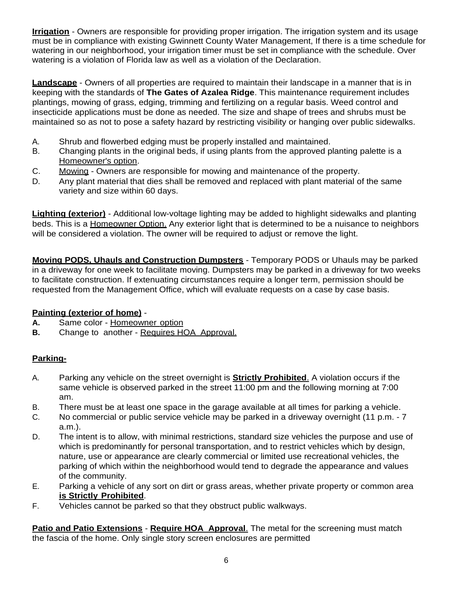**Irrigation** - Owners are responsible for providing proper irrigation. The irrigation system and its usage must be in compliance with existing Gwinnett County Water Management, If there is a time schedule for watering in our neighborhood, your irrigation timer must be set in compliance with the schedule. Over watering is a violation of Florida law as well as a violation of the Declaration.

**Landscape** - Owners of all properties are required to maintain their landscape in a manner that is in keeping with the standards of **The Gates of Azalea Ridge**. This maintenance requirement includes plantings, mowing of grass, edging, trimming and fertilizing on a regular basis. Weed control and insecticide applications must be done as needed. The size and shape of trees and shrubs must be maintained so as not to pose a safety hazard by restricting visibility or hanging over public sidewalks.

- A. Shrub and flowerbed edging must be properly installed and maintained.
- B. Changing plants in the original beds, if using plants from the approved planting palette is a Homeowner's option.
- C. Mowing Owners are responsible for mowing and maintenance of the property.
- D. Any plant material that dies shall be removed and replaced with plant material of the same variety and size within 60 days.

**Lighting (exterior)** - Additional low-voltage lighting may be added to highlight sidewalks and planting beds. This is a Homeowner Option. Any exterior light that is determined to be a nuisance to neighbors will be considered a violation. The owner will be required to adjust or remove the light.

**Moving PODS, Uhauls and Construction Dumpsters** - Temporary PODS or Uhauls may be parked in a driveway for one week to facilitate moving. Dumpsters may be parked in a driveway for two weeks to facilitate construction. If extenuating circumstances require a longer term, permission should be requested from the Management Office, which will evaluate requests on a case by case basis.

# **Painting (exterior of home)** -

- **A.** Same color Homeowner option
- **B.** Change to another Requires HOA Approval.

# **Parking-**

- A. Parking any vehicle on the street overnight is **Strictly Prohibited**. A violation occurs if the same vehicle is observed parked in the street 11:00 pm and the following morning at 7:00 am.
- B. There must be at least one space in the garage available at all times for parking a vehicle.
- C. No commercial or public service vehicle may be parked in a driveway overnight (11 p.m. 7 a.m.).
- D. The intent is to allow, with minimal restrictions, standard size vehicles the purpose and use of which is predominantly for personal transportation, and to restrict vehicles which by design, nature, use or appearance are clearly commercial or limited use recreational vehicles, the parking of which within the neighborhood would tend to degrade the appearance and values of the community.
- E. Parking a vehicle of any sort on dirt or grass areas, whether private property or common area  **is Strictly Prohibited**.
- F. Vehicles cannot be parked so that they obstruct public walkways.

**Patio and Patio Extensions** - **Require HOA Approval**. The metal for the screening must match the fascia of the home. Only single story screen enclosures are permitted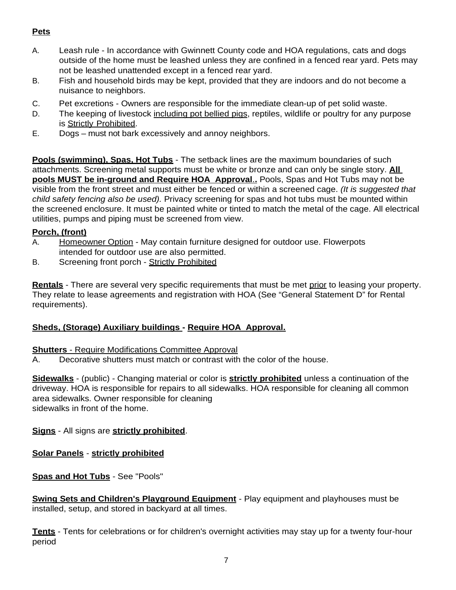# **Pets**

- A. Leash rule In accordance with Gwinnett County code and HOA regulations, cats and dogs outside of the home must be leashed unless they are confined in a fenced rear yard. Pets may not be leashed unattended except in a fenced rear yard.
- B. Fish and household birds may be kept, provided that they are indoors and do not become a nuisance to neighbors.
- C. Pet excretions Owners are responsible for the immediate clean-up of pet solid waste.
- D. The keeping of livestock including pot bellied pigs, reptiles, wildlife or poultry for any purpose is Strictly Prohibited.
- E. Dogs must not bark excessively and annoy neighbors.

**Pools (swimming), Spas, Hot Tubs** - The setback lines are the maximum boundaries of such attachments. Screening metal supports must be white or bronze and can only be single story. **All pools MUST be in-ground and Require HOA Approval**.**.** Pools, Spas and Hot Tubs may not be visible from the front street and must either be fenced or within a screened cage. *(It is suggested that child safety fencing also be used).* Privacy screening for spas and hot tubs must be mounted within the screened enclosure. It must be painted white or tinted to match the metal of the cage. All electrical utilities, pumps and piping must be screened from view.

### **Porch, (front)**

- A. Homeowner Option May contain furniture designed for outdoor use. Flowerpots intended for outdoor use are also permitted.
- B. Screening front porch Strictly Prohibited

**Rentals** - There are several very specific requirements that must be met prior to leasing your property. They relate to lease agreements and registration with HOA (See "General Statement D" for Rental requirements).

# **Sheds, (Storage) Auxiliary buildings - Require HOA Approval.**

### **Shutters** - Require Modifications Committee Approval

A. Decorative shutters must match or contrast with the color of the house.

**Sidewalks** - (public) - Changing material or color is **strictly prohibited** unless a continuation of the driveway. HOA is responsible for repairs to all sidewalks. HOA responsible for cleaning all common area sidewalks. Owner responsible for cleaning sidewalks in front of the home.

### **Signs** - All signs are **strictly prohibited**.

**Solar Panels** - **strictly prohibited**

### **Spas and Hot Tubs** - See "Pools"

**Swing Sets and Children's Playground Equipment** - Play equipment and playhouses must be installed, setup, and stored in backyard at all times.

**Tents** - Tents for celebrations or for children's overnight activities may stay up for a twenty four-hour period